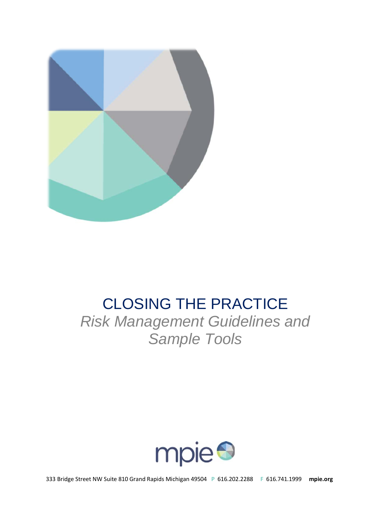

# CLOSING THE PRACTICE

*Risk Management Guidelines and Sample Tools*

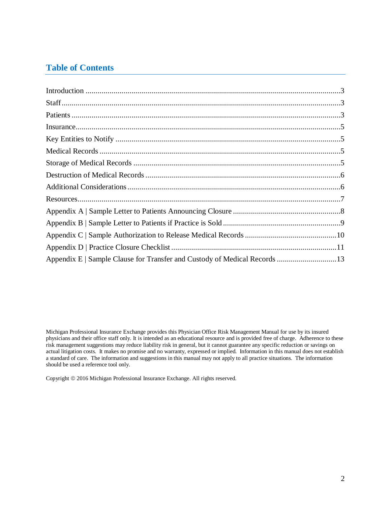# **Table of Contents**

Michigan Professional Insurance Exchange provides this Physician Office Risk Management Manual for use by its insured physicians and their office staff only. It is intended as an educational resource and is provided free of charge. Adherence to these risk management suggestions may reduce liability risk in general, but it cannot guarantee any specific reduction or savings on actual litigation costs. It makes no promise and no warranty, expressed or implied. Information in this manual does not establish a standard of care. The information and suggestions in this manual may not apply to all practice situations. The information should be used a reference tool only.

Copyright 2016 Michigan Professional Insurance Exchange. All rights reserved.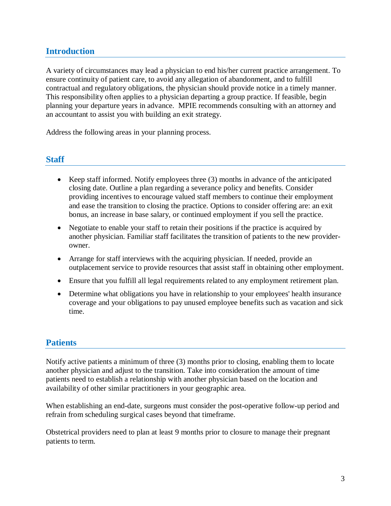## <span id="page-2-0"></span>**Introduction**

A variety of circumstances may lead a physician to end his/her current practice arrangement. To ensure continuity of patient care, to avoid any allegation of abandonment, and to fulfill contractual and regulatory obligations, the physician should provide notice in a timely manner. This responsibility often applies to a physician departing a group practice. If feasible, begin planning your departure years in advance. MPIE recommends consulting with an attorney and an accountant to assist you with building an exit strategy.

Address the following areas in your planning process.

#### <span id="page-2-1"></span>**Staff**

- Keep staff informed. Notify employees three (3) months in advance of the anticipated closing date. Outline a plan regarding a severance policy and benefits. Consider providing incentives to encourage valued staff members to continue their employment and ease the transition to closing the practice. Options to consider offering are: an exit bonus, an increase in base salary, or continued employment if you sell the practice.
- Negotiate to enable your staff to retain their positions if the practice is acquired by another physician. Familiar staff facilitates the transition of patients to the new providerowner.
- Arrange for staff interviews with the acquiring physician. If needed, provide an outplacement service to provide resources that assist staff in obtaining other employment.
- Ensure that you fulfill all legal requirements related to any employment retirement plan.
- Determine what obligations you have in relationship to your employees' health insurance coverage and your obligations to pay unused employee benefits such as vacation and sick time.

## <span id="page-2-2"></span>**Patients**

Notify active patients a minimum of three (3) months prior to closing, enabling them to locate another physician and adjust to the transition. Take into consideration the amount of time patients need to establish a relationship with another physician based on the location and availability of other similar practitioners in your geographic area.

When establishing an end-date, surgeons must consider the post-operative follow-up period and refrain from scheduling surgical cases beyond that timeframe.

Obstetrical providers need to plan at least 9 months prior to closure to manage their pregnant patients to term.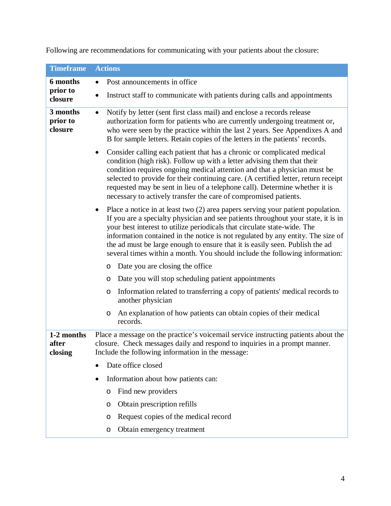| <b>Timeframe</b>                | <b>Actions</b>                                                                                                                                                                                                                                                                                                                                                                                                                                                                                            |
|---------------------------------|-----------------------------------------------------------------------------------------------------------------------------------------------------------------------------------------------------------------------------------------------------------------------------------------------------------------------------------------------------------------------------------------------------------------------------------------------------------------------------------------------------------|
| 6 months                        | Post announcements in office                                                                                                                                                                                                                                                                                                                                                                                                                                                                              |
| prior to<br>closure             | Instruct staff to communicate with patients during calls and appointments                                                                                                                                                                                                                                                                                                                                                                                                                                 |
| 3 months<br>prior to<br>closure | Notify by letter (sent first class mail) and enclose a records release<br>$\bullet$<br>authorization form for patients who are currently undergoing treatment or,<br>who were seen by the practice within the last 2 years. See Appendixes A and<br>B for sample letters. Retain copies of the letters in the patients' records.                                                                                                                                                                          |
|                                 | Consider calling each patient that has a chronic or complicated medical<br>$\bullet$<br>condition (high risk). Follow up with a letter advising them that their<br>condition requires ongoing medical attention and that a physician must be<br>selected to provide for their continuing care. (A certified letter, return receipt<br>requested may be sent in lieu of a telephone call). Determine whether it is<br>necessary to actively transfer the care of compromised patients.                     |
|                                 | Place a notice in at least two $(2)$ area papers serving your patient population.<br>٠<br>If you are a specialty physician and see patients throughout your state, it is in<br>your best interest to utilize periodicals that circulate state-wide. The<br>information contained in the notice is not regulated by any entity. The size of<br>the ad must be large enough to ensure that it is easily seen. Publish the ad<br>several times within a month. You should include the following information: |
|                                 | Date you are closing the office<br>O                                                                                                                                                                                                                                                                                                                                                                                                                                                                      |
|                                 | Date you will stop scheduling patient appointments<br>O                                                                                                                                                                                                                                                                                                                                                                                                                                                   |
|                                 | Information related to transferring a copy of patients' medical records to<br>$\circ$<br>another physician                                                                                                                                                                                                                                                                                                                                                                                                |
|                                 | An explanation of how patients can obtain copies of their medical<br>$\circ$<br>records.                                                                                                                                                                                                                                                                                                                                                                                                                  |
| 1-2 months<br>after<br>closing  | Place a message on the practice's voicemail service instructing patients about the<br>closure. Check messages daily and respond to inquiries in a prompt manner.<br>Include the following information in the message:                                                                                                                                                                                                                                                                                     |
|                                 | Date office closed<br>$\bullet$                                                                                                                                                                                                                                                                                                                                                                                                                                                                           |
|                                 | Information about how patients can:<br>$\bullet$                                                                                                                                                                                                                                                                                                                                                                                                                                                          |
|                                 | Find new providers<br>O                                                                                                                                                                                                                                                                                                                                                                                                                                                                                   |
|                                 | Obtain prescription refills<br>O                                                                                                                                                                                                                                                                                                                                                                                                                                                                          |
|                                 | Request copies of the medical record<br>O                                                                                                                                                                                                                                                                                                                                                                                                                                                                 |
|                                 | Obtain emergency treatment<br>O                                                                                                                                                                                                                                                                                                                                                                                                                                                                           |

Following are recommendations for communicating with your patients about the closure: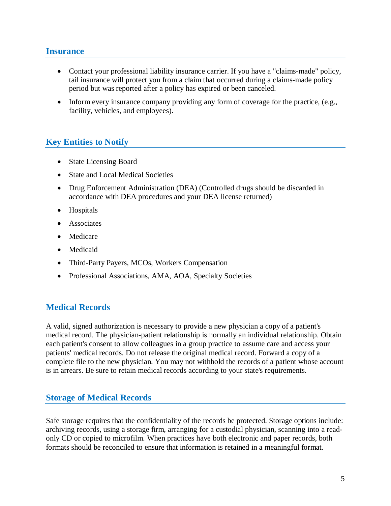### <span id="page-4-0"></span>**Insurance**

- Contact your professional liability insurance carrier. If you have a "claims-made" policy, tail insurance will protect you from a claim that occurred during a claims-made policy period but was reported after a policy has expired or been canceled.
- Inform every insurance company providing any form of coverage for the practice, (e.g., facility, vehicles, and employees).

## <span id="page-4-1"></span>**Key Entities to Notify**

- State Licensing Board
- State and Local Medical Societies
- Drug Enforcement Administration (DEA) (Controlled drugs should be discarded in accordance with DEA procedures and your DEA license returned)
- Hospitals
- Associates
- Medicare
- Medicaid
- Third-Party Payers, MCOs, Workers Compensation
- Professional Associations, AMA, AOA, Specialty Societies

## <span id="page-4-2"></span>**Medical Records**

A valid, signed authorization is necessary to provide a new physician a copy of a patient's medical record. The physician-patient relationship is normally an individual relationship. Obtain each patient's consent to allow colleagues in a group practice to assume care and access your patients' medical records. Do not release the original medical record. Forward a copy of a complete file to the new physician. You may not withhold the records of a patient whose account is in arrears. Be sure to retain medical records according to your state's requirements.

## <span id="page-4-3"></span>**Storage of Medical Records**

Safe storage requires that the confidentiality of the records be protected. Storage options include: archiving records, using a storage firm, arranging for a custodial physician, scanning into a readonly CD or copied to microfilm. When practices have both electronic and paper records, both formats should be reconciled to ensure that information is retained in a meaningful format.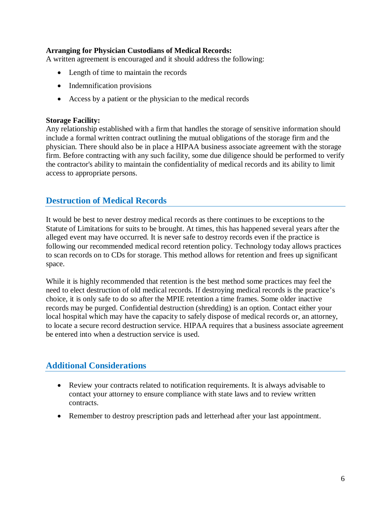#### **Arranging for Physician Custodians of Medical Records:**

A written agreement is encouraged and it should address the following:

- Length of time to maintain the records
- Indemnification provisions
- Access by a patient or the physician to the medical records

#### **Storage Facility:**

Any relationship established with a firm that handles the storage of sensitive information should include a formal written contract outlining the mutual obligations of the storage firm and the physician. There should also be in place a HIPAA business associate agreement with the storage firm. Before contracting with any such facility, some due diligence should be performed to verify the contractor's ability to maintain the confidentiality of medical records and its ability to limit access to appropriate persons.

## <span id="page-5-0"></span>**Destruction of Medical Records**

It would be best to never destroy medical records as there continues to be exceptions to the Statute of Limitations for suits to be brought. At times, this has happened several years after the alleged event may have occurred. It is never safe to destroy records even if the practice is following our recommended medical record retention policy. Technology today allows practices to scan records on to CDs for storage. This method allows for retention and frees up significant space.

While it is highly recommended that retention is the best method some practices may feel the need to elect destruction of old medical records. If destroying medical records is the practice's choice, it is only safe to do so after the MPIE retention a time frames. Some older inactive records may be purged. Confidential destruction (shredding) is an option. Contact either your local hospital which may have the capacity to safely dispose of medical records or, an attorney, to locate a secure record destruction service. HIPAA requires that a business associate agreement be entered into when a destruction service is used.

## <span id="page-5-1"></span>**Additional Considerations**

- Review your contracts related to notification requirements. It is always advisable to contact your attorney to ensure compliance with state laws and to review written contracts.
- Remember to destroy prescription pads and letterhead after your last appointment.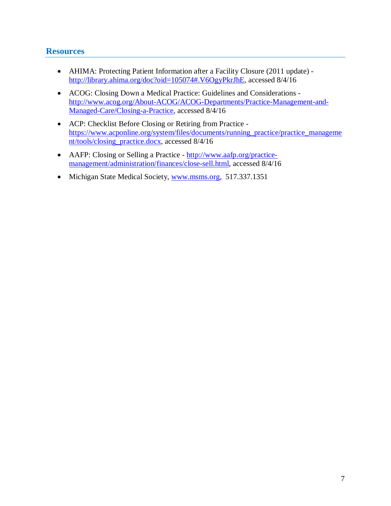## <span id="page-6-0"></span>**Resources**

- AHIMA: Protecting Patient Information after a Facility Closure (2011 update) [http://library.ahima.org/doc?oid=105074#.V6OgyPkrJhE,](http://library.ahima.org/doc?oid=105074#.V6OgyPkrJhE) accessed 8/4/16
- ACOG: Closing Down a Medical Practice: Guidelines and Considerations [http://www.acog.org/About-ACOG/ACOG-Departments/Practice-Management-and-](http://www.acog.org/About-ACOG/ACOG-Departments/Practice-Management-and-Managed-Care/Closing-a-Practice)[Managed-Care/Closing-a-Practice,](http://www.acog.org/About-ACOG/ACOG-Departments/Practice-Management-and-Managed-Care/Closing-a-Practice) accessed 8/4/16
- ACP: Checklist Before Closing or Retiring from Practice [https://www.acponline.org/system/files/documents/running\\_practice/practice\\_manageme](https://www.acponline.org/system/files/documents/running_practice/practice_management/tools/closing_practice.docx) [nt/tools/closing\\_practice.docx,](https://www.acponline.org/system/files/documents/running_practice/practice_management/tools/closing_practice.docx) accessed 8/4/16
- AAFP: Closing or Selling a Practice [http://www.aafp.org/practice](http://www.aafp.org/practice-management/administration/finances/close-sell.html)[management/administration/finances/close-sell.html,](http://www.aafp.org/practice-management/administration/finances/close-sell.html) accessed 8/4/16
- Michigan State Medical Society, [www.msms.org,](http://www.msms.org/) 517.337.1351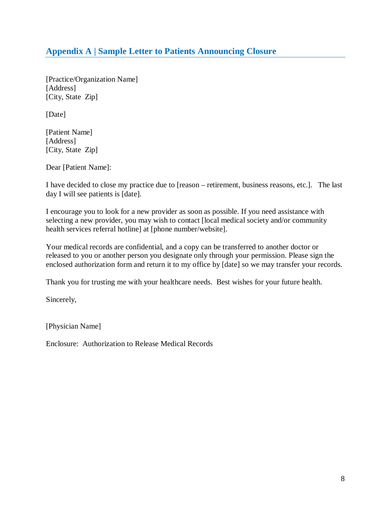# <span id="page-7-0"></span>**Appendix A | Sample Letter to Patients Announcing Closure**

[Practice/Organization Name] [Address] [City, State Zip]

[Date]

[Patient Name] [Address] [City, State Zip]

Dear [Patient Name]:

I have decided to close my practice due to [reason – retirement, business reasons, etc.]. The last day I will see patients is [date].

I encourage you to look for a new provider as soon as possible. If you need assistance with selecting a new provider, you may wish to contact [local medical society and/or community health services referral hotline] at [phone number/website].

Your medical records are confidential, and a copy can be transferred to another doctor or released to you or another person you designate only through your permission. Please sign the enclosed authorization form and return it to my office by [date] so we may transfer your records.

Thank you for trusting me with your healthcare needs. Best wishes for your future health.

Sincerely,

[Physician Name]

Enclosure: Authorization to Release Medical Records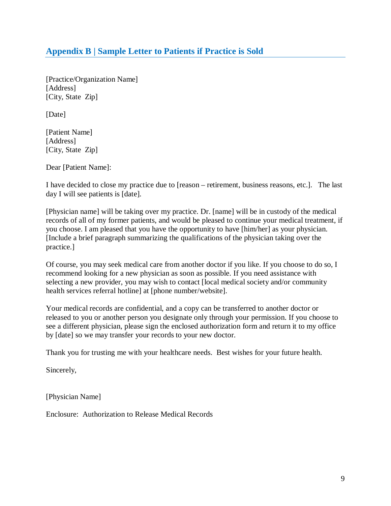# <span id="page-8-0"></span>**Appendix B | Sample Letter to Patients if Practice is Sold**

[Practice/Organization Name] [Address] [City, State Zip]

[Date]

[Patient Name] [Address] [City, State Zip]

Dear [Patient Name]:

I have decided to close my practice due to [reason – retirement, business reasons, etc.]. The last day I will see patients is [date].

[Physician name] will be taking over my practice. Dr. [name] will be in custody of the medical records of all of my former patients, and would be pleased to continue your medical treatment, if you choose. I am pleased that you have the opportunity to have [him/her] as your physician. [Include a brief paragraph summarizing the qualifications of the physician taking over the practice.]

Of course, you may seek medical care from another doctor if you like. If you choose to do so, I recommend looking for a new physician as soon as possible. If you need assistance with selecting a new provider, you may wish to contact [local medical society and/or community health services referral hotline] at [phone number/website].

Your medical records are confidential, and a copy can be transferred to another doctor or released to you or another person you designate only through your permission. If you choose to see a different physician, please sign the enclosed authorization form and return it to my office by [date] so we may transfer your records to your new doctor.

Thank you for trusting me with your healthcare needs. Best wishes for your future health.

Sincerely,

[Physician Name]

Enclosure: Authorization to Release Medical Records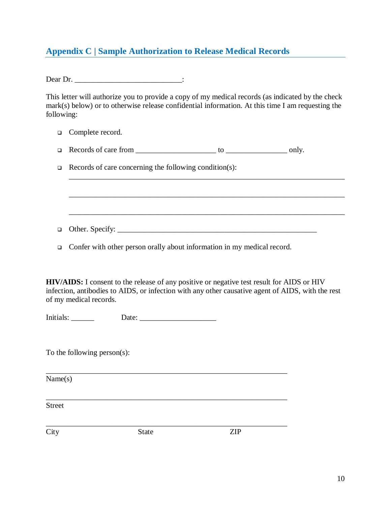# <span id="page-9-0"></span>**Appendix C | Sample Authorization to Release Medical Records**

Dear Dr. \_\_\_\_\_\_\_\_\_\_\_\_\_\_\_\_\_\_\_\_\_\_\_\_\_\_\_\_:

This letter will authorize you to provide a copy of my medical records (as indicated by the check mark(s) below) or to otherwise release confidential information. At this time I am requesting the following:

\_\_\_\_\_\_\_\_\_\_\_\_\_\_\_\_\_\_\_\_\_\_\_\_\_\_\_\_\_\_\_\_\_\_\_\_\_\_\_\_\_\_\_\_\_\_\_\_\_\_\_\_\_\_\_\_\_\_\_\_\_\_\_\_\_\_\_\_\_\_\_\_

\_\_\_\_\_\_\_\_\_\_\_\_\_\_\_\_\_\_\_\_\_\_\_\_\_\_\_\_\_\_\_\_\_\_\_\_\_\_\_\_\_\_\_\_\_\_\_\_\_\_\_\_\_\_\_\_\_\_\_\_\_\_\_\_\_\_\_\_\_\_\_\_

- □ Complete record.
- Records of care from \_\_\_\_\_\_\_\_\_\_\_\_\_\_\_\_\_\_\_\_\_ to \_\_\_\_\_\_\_\_\_\_\_\_\_\_\_\_ only.
- $\Box$  Records of care concerning the following condition(s):

Other. Specify: \_\_\_\_\_\_\_\_\_\_\_\_\_\_\_\_\_\_\_\_\_\_\_\_\_\_\_\_\_\_\_\_\_\_\_\_\_\_\_\_\_\_\_\_\_\_\_\_\_\_\_\_

\_\_\_\_\_\_\_\_\_\_\_\_\_\_\_\_\_\_\_\_\_\_\_\_\_\_\_\_\_\_\_\_\_\_\_\_\_\_\_\_\_\_\_\_\_\_\_\_\_\_\_\_\_\_\_\_\_\_\_\_\_\_\_

\_\_\_\_\_\_\_\_\_\_\_\_\_\_\_\_\_\_\_\_\_\_\_\_\_\_\_\_\_\_\_\_\_\_\_\_\_\_\_\_\_\_\_\_\_\_\_\_\_\_\_\_\_\_\_\_\_\_\_\_\_\_\_

\_\_\_\_\_\_\_\_\_\_\_\_\_\_\_\_\_\_\_\_\_\_\_\_\_\_\_\_\_\_\_\_\_\_\_\_\_\_\_\_\_\_\_\_\_\_\_\_\_\_\_\_\_\_\_\_\_\_\_\_\_\_\_

 $\Box$  Confer with other person orally about information in my medical record.

**HIV/AIDS:** I consent to the release of any positive or negative test result for AIDS or HIV infection, antibodies to AIDS, or infection with any other causative agent of AIDS, with the rest of my medical records.

Initials: \_\_\_\_\_\_ Date: \_\_\_\_\_\_\_\_\_\_\_\_\_\_\_\_\_\_\_\_

To the following person(s):

Name(s)

Street

City State ZIP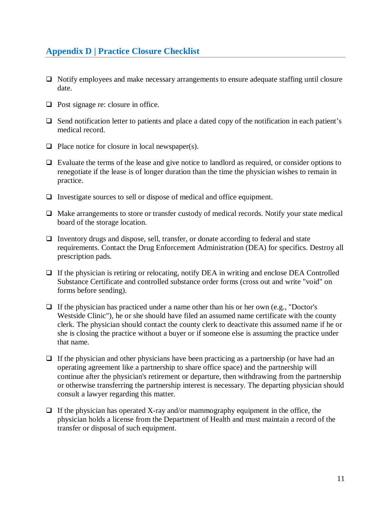# <span id="page-10-0"></span>**Appendix D | Practice Closure Checklist**

- Notify employees and make necessary arrangements to ensure adequate staffing until closure date.
- $\Box$  Post signage re: closure in office.
- $\Box$  Send notification letter to patients and place a dated copy of the notification in each patient's medical record.
- $\Box$  Place notice for closure in local newspaper(s).
- $\Box$  Evaluate the terms of the lease and give notice to landlord as required, or consider options to renegotiate if the lease is of longer duration than the time the physician wishes to remain in practice.
- $\Box$  Investigate sources to sell or dispose of medical and office equipment.
- $\Box$  Make arrangements to store or transfer custody of medical records. Notify your state medical board of the storage location.
- $\Box$  Inventory drugs and dispose, sell, transfer, or donate according to federal and state requirements. Contact the Drug Enforcement Administration (DEA) for specifics. Destroy all prescription pads.
- $\Box$  If the physician is retiring or relocating, notify DEA in writing and enclose DEA Controlled Substance Certificate and controlled substance order forms (cross out and write "void" on forms before sending).
- $\Box$  If the physician has practiced under a name other than his or her own (e.g., "Doctor's Westside Clinic"), he or she should have filed an assumed name certificate with the county clerk. The physician should contact the county clerk to deactivate this assumed name if he or she is closing the practice without a buyer or if someone else is assuming the practice under that name.
- $\Box$  If the physician and other physicians have been practicing as a partnership (or have had an operating agreement like a partnership to share office space) and the partnership will continue after the physician's retirement or departure, then withdrawing from the partnership or otherwise transferring the partnership interest is necessary. The departing physician should consult a lawyer regarding this matter.
- $\Box$  If the physician has operated X-ray and/or mammography equipment in the office, the physician holds a license from the Department of Health and must maintain a record of the transfer or disposal of such equipment.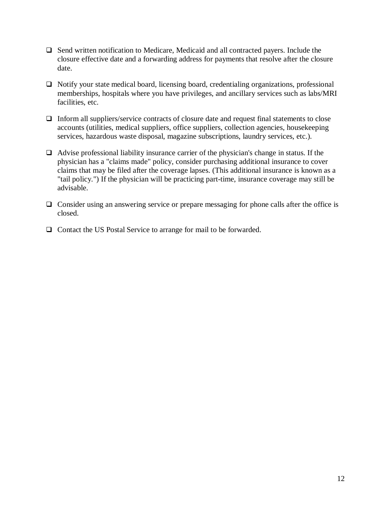- $\Box$  Send written notification to Medicare, Medicaid and all contracted payers. Include the closure effective date and a forwarding address for payments that resolve after the closure date.
- $\Box$  Notify your state medical board, licensing board, credentialing organizations, professional memberships, hospitals where you have privileges, and ancillary services such as labs/MRI facilities, etc.
- $\Box$  Inform all suppliers/service contracts of closure date and request final statements to close accounts (utilities, medical suppliers, office suppliers, collection agencies, housekeeping services, hazardous waste disposal, magazine subscriptions, laundry services, etc.).
- $\Box$  Advise professional liability insurance carrier of the physician's change in status. If the physician has a "claims made" policy, consider purchasing additional insurance to cover claims that may be filed after the coverage lapses. (This additional insurance is known as a "tail policy.") If the physician will be practicing part-time, insurance coverage may still be advisable.
- $\Box$  Consider using an answering service or prepare messaging for phone calls after the office is closed.
- $\Box$  Contact the US Postal Service to arrange for mail to be forwarded.